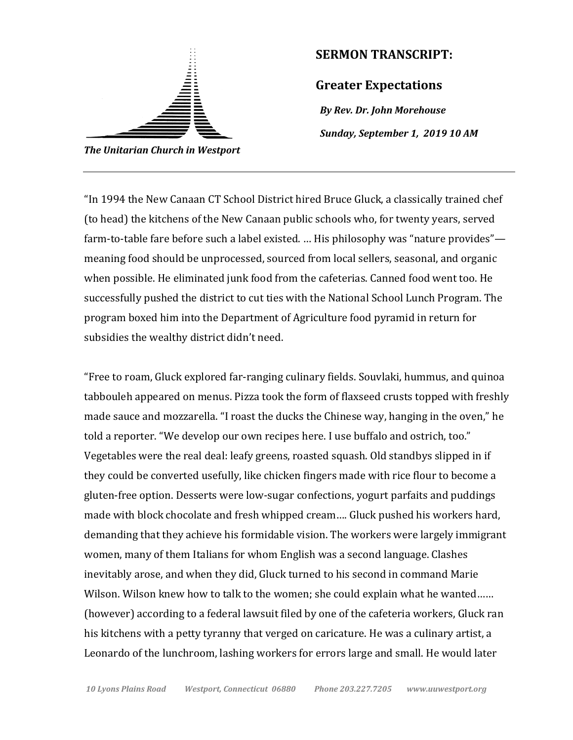

## **SERMON TRANSCRIPT:**

**Greater Expectations**

*By Rev. Dr. John Morehouse Sunday, September 1, 2019 10 AM*

"In 1994 the New Canaan CT School District hired Bruce Gluck, a classically trained chef (to head) the kitchens of the New Canaan public schools who, for twenty years, served farm-to-table fare before such a label existed. … His philosophy was "nature provides" meaning food should be unprocessed, sourced from local sellers, seasonal, and organic when possible. He eliminated junk food from the cafeterias. Canned food went too. He successfully pushed the district to cut ties with the National School Lunch Program. The program boxed him into the Department of Agriculture food pyramid in return for subsidies the wealthy district didn't need.

"Free to roam, Gluck explored far-ranging culinary fields. Souvlaki, hummus, and quinoa tabbouleh appeared on menus. Pizza took the form of flaxseed crusts topped with freshly made sauce and mozzarella. "I roast the ducks the Chinese way, hanging in the oven," he told a reporter. "We develop our own recipes here. I use buffalo and ostrich, too." Vegetables were the real deal: leafy greens, roasted squash. Old standbys slipped in if they could be converted usefully, like chicken fingers made with rice flour to become a gluten-free option. Desserts were low-sugar confections, yogurt parfaits and puddings made with block chocolate and fresh whipped cream…. Gluck pushed his workers hard, demanding that they achieve his formidable vision. The workers were largely immigrant women, many of them Italians for whom English was a second language. Clashes inevitably arose, and when they did, Gluck turned to his second in command Marie Wilson. Wilson knew how to talk to the women; she could explain what he wanted…… (however) according to a federal lawsuit filed by one of the cafeteria workers, Gluck ran his kitchens with a petty tyranny that verged on caricature. He was a culinary artist, a Leonardo of the lunchroom, lashing workers for errors large and small. He would later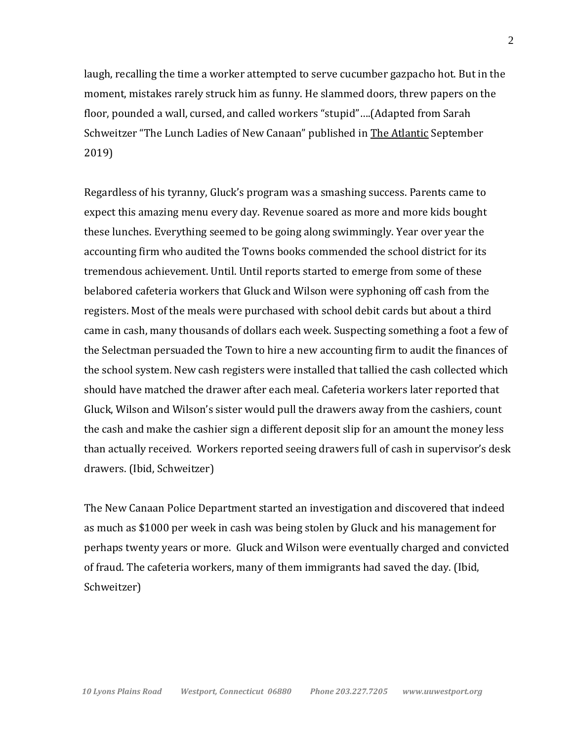laugh, recalling the time a worker attempted to serve cucumber gazpacho hot. But in the moment, mistakes rarely struck him as funny. He slammed doors, threw papers on the floor, pounded a wall, cursed, and called workers "stupid"….(Adapted from Sarah Schweitzer "The Lunch Ladies of New Canaan" published in The Atlantic September 2019)

Regardless of his tyranny, Gluck's program was a smashing success. Parents came to expect this amazing menu every day. Revenue soared as more and more kids bought these lunches. Everything seemed to be going along swimmingly. Year over year the accounting firm who audited the Towns books commended the school district for its tremendous achievement. Until. Until reports started to emerge from some of these belabored cafeteria workers that Gluck and Wilson were syphoning off cash from the registers. Most of the meals were purchased with school debit cards but about a third came in cash, many thousands of dollars each week. Suspecting something a foot a few of the Selectman persuaded the Town to hire a new accounting firm to audit the finances of the school system. New cash registers were installed that tallied the cash collected which should have matched the drawer after each meal. Cafeteria workers later reported that Gluck, Wilson and Wilson's sister would pull the drawers away from the cashiers, count the cash and make the cashier sign a different deposit slip for an amount the money less than actually received. Workers reported seeing drawers full of cash in supervisor's desk drawers. (Ibid, Schweitzer)

The New Canaan Police Department started an investigation and discovered that indeed as much as \$1000 per week in cash was being stolen by Gluck and his management for perhaps twenty years or more. Gluck and Wilson were eventually charged and convicted of fraud. The cafeteria workers, many of them immigrants had saved the day. (Ibid, Schweitzer)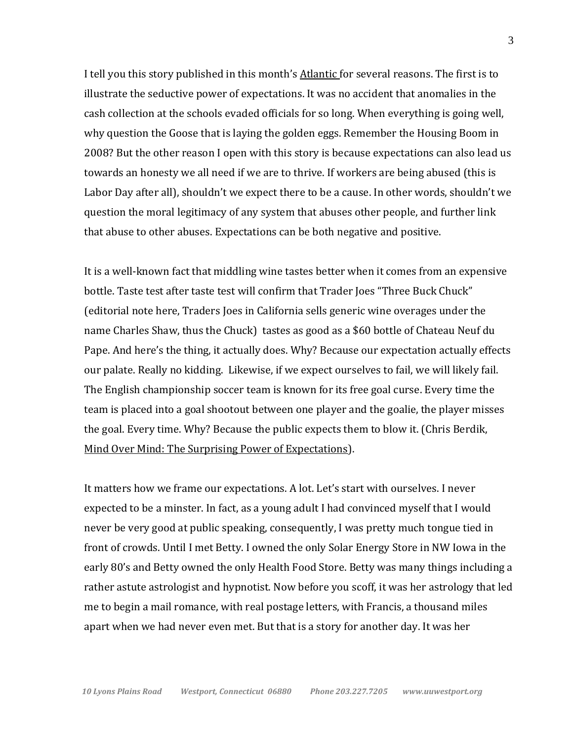I tell you this story published in this month's Atlantic for several reasons. The first is to illustrate the seductive power of expectations. It was no accident that anomalies in the cash collection at the schools evaded officials for so long. When everything is going well, why question the Goose that is laying the golden eggs. Remember the Housing Boom in 2008? But the other reason I open with this story is because expectations can also lead us towards an honesty we all need if we are to thrive. If workers are being abused (this is Labor Day after all), shouldn't we expect there to be a cause. In other words, shouldn't we question the moral legitimacy of any system that abuses other people, and further link that abuse to other abuses. Expectations can be both negative and positive.

It is a well-known fact that middling wine tastes better when it comes from an expensive bottle. Taste test after taste test will confirm that Trader Joes "Three Buck Chuck" (editorial note here, Traders Joes in California sells generic wine overages under the name Charles Shaw, thus the Chuck) tastes as good as a \$60 bottle of Chateau Neuf du Pape. And here's the thing, it actually does. Why? Because our expectation actually effects our palate. Really no kidding. Likewise, if we expect ourselves to fail, we will likely fail. The English championship soccer team is known for its free goal curse. Every time the team is placed into a goal shootout between one player and the goalie, the player misses the goal. Every time. Why? Because the public expects them to blow it. (Chris Berdik, Mind Over Mind: The Surprising Power of Expectations).

It matters how we frame our expectations. A lot. Let's start with ourselves. I never expected to be a minster. In fact, as a young adult I had convinced myself that I would never be very good at public speaking, consequently, I was pretty much tongue tied in front of crowds. Until I met Betty. I owned the only Solar Energy Store in NW Iowa in the early 80's and Betty owned the only Health Food Store. Betty was many things including a rather astute astrologist and hypnotist. Now before you scoff, it was her astrology that led me to begin a mail romance, with real postage letters, with Francis, a thousand miles apart when we had never even met. But that is a story for another day. It was her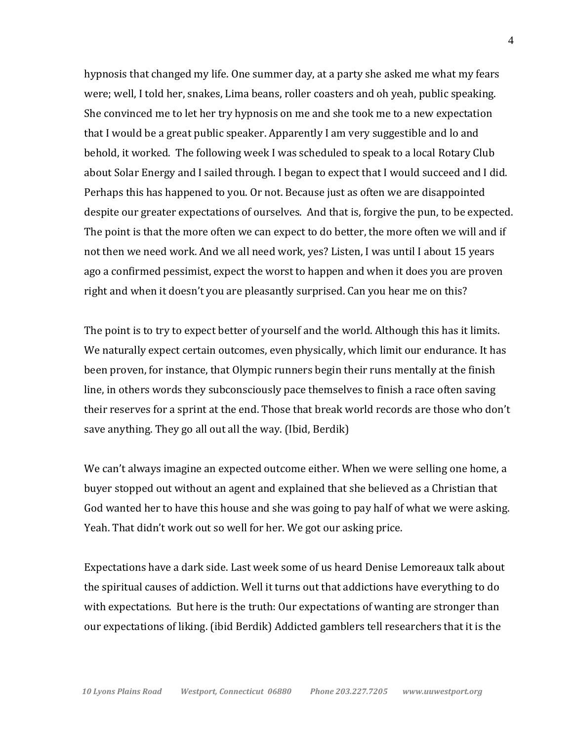hypnosis that changed my life. One summer day, at a party she asked me what my fears were; well, I told her, snakes, Lima beans, roller coasters and oh yeah, public speaking. She convinced me to let her try hypnosis on me and she took me to a new expectation that I would be a great public speaker. Apparently I am very suggestible and lo and behold, it worked. The following week I was scheduled to speak to a local Rotary Club about Solar Energy and I sailed through. I began to expect that I would succeed and I did. Perhaps this has happened to you. Or not. Because just as often we are disappointed despite our greater expectations of ourselves. And that is, forgive the pun, to be expected. The point is that the more often we can expect to do better, the more often we will and if not then we need work. And we all need work, yes? Listen, I was until I about 15 years ago a confirmed pessimist, expect the worst to happen and when it does you are proven right and when it doesn't you are pleasantly surprised. Can you hear me on this?

The point is to try to expect better of yourself and the world. Although this has it limits. We naturally expect certain outcomes, even physically, which limit our endurance. It has been proven, for instance, that Olympic runners begin their runs mentally at the finish line, in others words they subconsciously pace themselves to finish a race often saving their reserves for a sprint at the end. Those that break world records are those who don't save anything. They go all out all the way. (Ibid, Berdik)

We can't always imagine an expected outcome either. When we were selling one home, a buyer stopped out without an agent and explained that she believed as a Christian that God wanted her to have this house and she was going to pay half of what we were asking. Yeah. That didn't work out so well for her. We got our asking price.

Expectations have a dark side. Last week some of us heard Denise Lemoreaux talk about the spiritual causes of addiction. Well it turns out that addictions have everything to do with expectations. But here is the truth: Our expectations of wanting are stronger than our expectations of liking. (ibid Berdik) Addicted gamblers tell researchers that it is the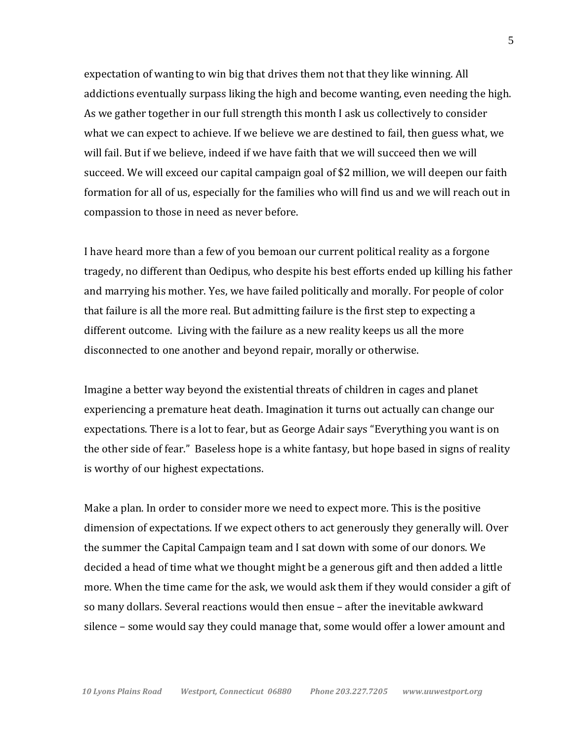expectation of wanting to win big that drives them not that they like winning. All addictions eventually surpass liking the high and become wanting, even needing the high. As we gather together in our full strength this month I ask us collectively to consider what we can expect to achieve. If we believe we are destined to fail, then guess what, we will fail. But if we believe, indeed if we have faith that we will succeed then we will succeed. We will exceed our capital campaign goal of \$2 million, we will deepen our faith formation for all of us, especially for the families who will find us and we will reach out in compassion to those in need as never before.

I have heard more than a few of you bemoan our current political reality as a forgone tragedy, no different than Oedipus, who despite his best efforts ended up killing his father and marrying his mother. Yes, we have failed politically and morally. For people of color that failure is all the more real. But admitting failure is the first step to expecting a different outcome. Living with the failure as a new reality keeps us all the more disconnected to one another and beyond repair, morally or otherwise.

Imagine a better way beyond the existential threats of children in cages and planet experiencing a premature heat death. Imagination it turns out actually can change our expectations. There is a lot to fear, but as George Adair says "Everything you want is on the other side of fear." Baseless hope is a white fantasy, but hope based in signs of reality is worthy of our highest expectations.

Make a plan. In order to consider more we need to expect more. This is the positive dimension of expectations. If we expect others to act generously they generally will. Over the summer the Capital Campaign team and I sat down with some of our donors. We decided a head of time what we thought might be a generous gift and then added a little more. When the time came for the ask, we would ask them if they would consider a gift of so many dollars. Several reactions would then ensue – after the inevitable awkward silence – some would say they could manage that, some would offer a lower amount and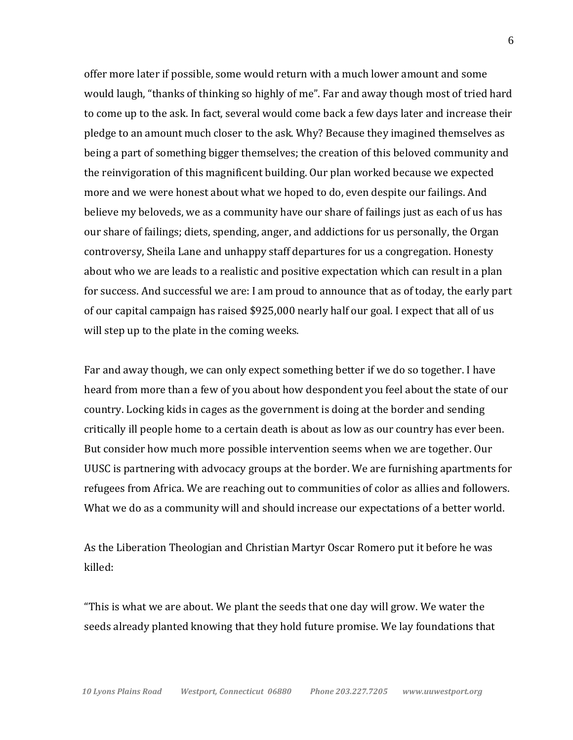offer more later if possible, some would return with a much lower amount and some would laugh, "thanks of thinking so highly of me". Far and away though most of tried hard to come up to the ask. In fact, several would come back a few days later and increase their pledge to an amount much closer to the ask. Why? Because they imagined themselves as being a part of something bigger themselves; the creation of this beloved community and the reinvigoration of this magnificent building. Our plan worked because we expected more and we were honest about what we hoped to do, even despite our failings. And believe my beloveds, we as a community have our share of failings just as each of us has our share of failings; diets, spending, anger, and addictions for us personally, the Organ controversy, Sheila Lane and unhappy staff departures for us a congregation. Honesty about who we are leads to a realistic and positive expectation which can result in a plan for success. And successful we are: I am proud to announce that as of today, the early part of our capital campaign has raised \$925,000 nearly half our goal. I expect that all of us will step up to the plate in the coming weeks.

Far and away though, we can only expect something better if we do so together. I have heard from more than a few of you about how despondent you feel about the state of our country. Locking kids in cages as the government is doing at the border and sending critically ill people home to a certain death is about as low as our country has ever been. But consider how much more possible intervention seems when we are together. Our UUSC is partnering with advocacy groups at the border. We are furnishing apartments for refugees from Africa. We are reaching out to communities of color as allies and followers. What we do as a community will and should increase our expectations of a better world.

As the Liberation Theologian and Christian Martyr Oscar Romero put it before he was killed:

"This is what we are about. We plant the seeds that one day will grow. We water the seeds already planted knowing that they hold future promise. We lay foundations that